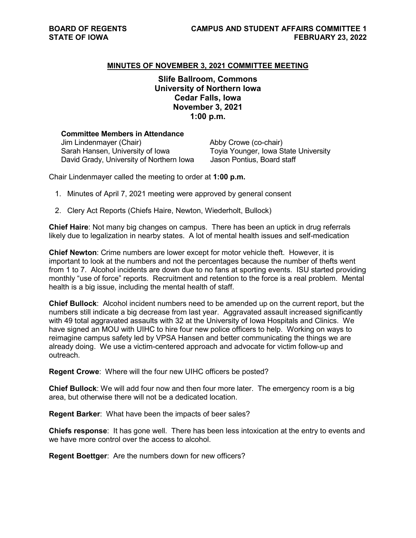## **MINUTES OF NOVEMBER 3, 2021 COMMITTEE MEETING**

**Slife Ballroom, Commons University of Northern Iowa Cedar Falls, Iowa November 3, 2021 1:00 p.m.**

| <b>Committee Members in Attendance</b>                                       |                                                                    |
|------------------------------------------------------------------------------|--------------------------------------------------------------------|
| Jim Lindenmayer (Chair)                                                      | Abby Crowe (co-chair)                                              |
| Sarah Hansen, University of Iowa<br>David Grady, University of Northern Iowa | Toyia Younger, Iowa State University<br>Jason Pontius, Board staff |
|                                                                              |                                                                    |

Chair Lindenmayer called the meeting to order at **1:00 p.m.**

- 1. Minutes of April 7, 2021 meeting were approved by general consent
- 2. Clery Act Reports (Chiefs Haire, Newton, Wiederholt, Bullock)

**Chief Haire**: Not many big changes on campus. There has been an uptick in drug referrals likely due to legalization in nearby states. A lot of mental health issues and self-medication

**Chief Newton**: Crime numbers are lower except for motor vehicle theft. However, it is important to look at the numbers and not the percentages because the number of thefts went from 1 to 7. Alcohol incidents are down due to no fans at sporting events. ISU started providing monthly "use of force" reports. Recruitment and retention to the force is a real problem. Mental health is a big issue, including the mental health of staff.

**Chief Bullock**: Alcohol incident numbers need to be amended up on the current report, but the numbers still indicate a big decrease from last year. Aggravated assault increased significantly with 49 total aggravated assaults with 32 at the University of Iowa Hospitals and Clinics. We have signed an MOU with UIHC to hire four new police officers to help. Working on ways to reimagine campus safety led by VPSA Hansen and better communicating the things we are already doing. We use a victim-centered approach and advocate for victim follow-up and outreach.

**Regent Crowe**: Where will the four new UIHC officers be posted?

**Chief Bullock**: We will add four now and then four more later. The emergency room is a big area, but otherwise there will not be a dedicated location.

**Regent Barker**: What have been the impacts of beer sales?

**Chiefs response**: It has gone well. There has been less intoxication at the entry to events and we have more control over the access to alcohol

**Regent Boettger**: Are the numbers down for new officers?